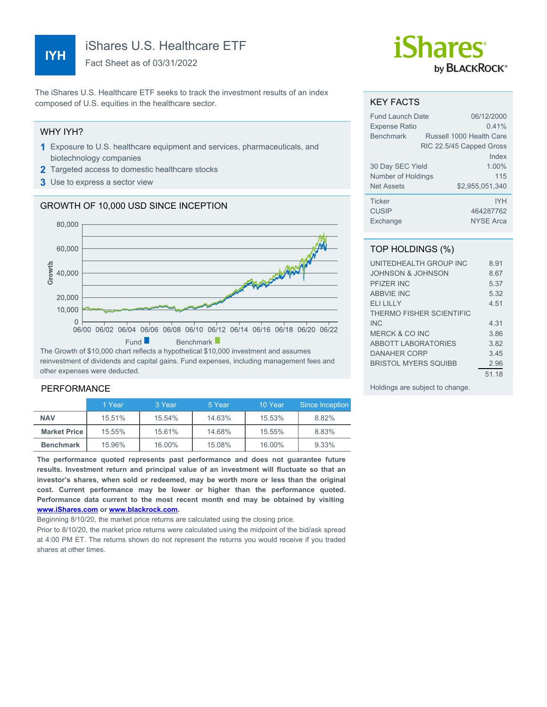# **IYH**

iShares U.S. Healthcare ETF

Fact Sheet as of 03/31/2022

The iShares U.S. Healthcare ETF seeks to track the investment results of an index composed of U.S. equities in the healthcare sector.

#### WHY IYH?

- **1** Exposure to U.S. healthcare equipment and services, pharmaceuticals, and biotechnology companies
- **2** Targeted access to domestic healthcare stocks
- **3** Use to express a sector view

### GROWTH OF 10,000 USD SINCE INCEPTION



reinvestment of dividends and capital gains. Fund expenses, including management fees and other expenses were deducted.

#### PERFORMANCE

|                     | 1 Year | 3 Year | 5 Year | 10 Year | Since Inception |
|---------------------|--------|--------|--------|---------|-----------------|
| <b>NAV</b>          | 15.51% | 15.54% | 14.63% | 15.53%  | 8.82%           |
| <b>Market Price</b> | 15.55% | 15.61% | 14.68% | 15.55%  | 8.83%           |
| <b>Benchmark</b>    | 15.96% | 16.00% | 15.08% | 16.00%  | 9.33%           |

**The performance quoted represents past performance and does not guarantee future results. Investment return and principal value of an investment will fluctuate so that an investor's shares, when sold or redeemed, may be worth more or less than the original cost. Current performance may be lower or higher than the performance quoted. Performance data current to the most recent month end may be obtained by visiting [www.iShares.com](http://www.iShares.com) or [www.blackrock.com](http://www.blackrock.com).**

Beginning 8/10/20, the market price returns are calculated using the closing price.

Prior to 8/10/20, the market price returns were calculated using the midpoint of the bid/ask spread at 4:00 PM ET. The returns shown do not represent the returns you would receive if you traded shares at other times.

# *iShares* by **BLACKROCK**®

#### KEY FACTS

| Fund Launch Date     | 06/12/2000               |
|----------------------|--------------------------|
| <b>Expense Ratio</b> | 0.41%                    |
| <b>Benchmark</b>     | Russell 1000 Health Care |
|                      | RIC 22.5/45 Capped Gross |
|                      | Index                    |
| 30 Day SEC Yield     | 1.00%                    |
| Number of Holdings   | 115                      |
| <b>Net Assets</b>    | \$2,955,051,340          |
| <b>Ticker</b>        | <b>IYH</b>               |
| <b>CUSIP</b>         | 464287762                |
| Exchange             | <b>NYSE Arca</b>         |

## TOP HOLDINGS (%)

| UNITEDHEALTH GROUP INC       | 891   |
|------------------------------|-------|
| <b>JOHNSON &amp; JOHNSON</b> | 8.67  |
| PFIZER INC                   | 5.37  |
| <b>ABBVIE INC</b>            | 5.32  |
| <b>ELI LILLY</b>             | 4.51  |
| THERMO FISHER SCIENTIFIC     |       |
| <b>INC</b>                   | 4.31  |
| MERCK & CO INC               | 3.86  |
| <b>ABBOTT LABORATORIES</b>   | 3.82  |
| <b>DANAHER CORP</b>          | 345   |
| <b>BRISTOL MYERS SOUIBB</b>  | 2.96  |
|                              | 51.18 |

Holdings are subject to change.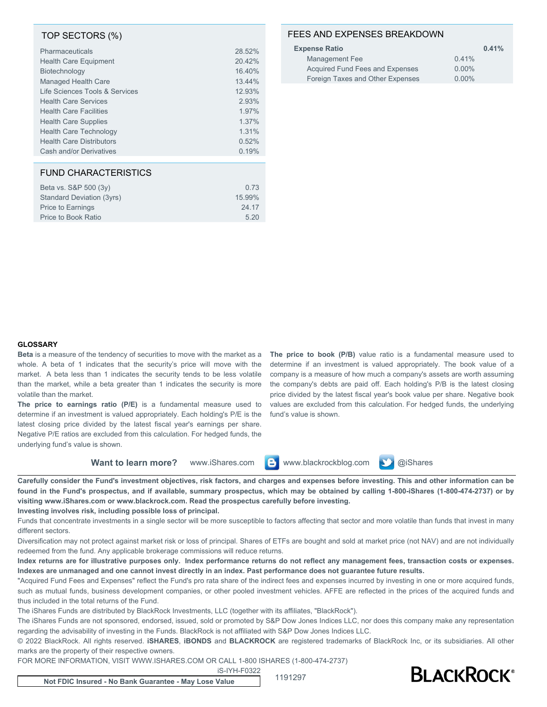#### TOP SECTORS (%)

| 28.52% |
|--------|
| 20.42% |
| 16.40% |
| 13.44% |
| 12.93% |
| 2.93%  |
| 1.97%  |
| 1.37%  |
| 1.31%  |
| 0.52%  |
| 0.19%  |
|        |

#### FUND CHARACTERISTICS

| Beta vs. S&P 500 (3y)     | 0.73   |
|---------------------------|--------|
| Standard Deviation (3yrs) | 15.99% |
| <b>Price to Earnings</b>  | 24.17  |
| Price to Book Ratio       | 520    |

#### FEES AND EXPENSES BREAKDOWN

| <b>Expense Ratio</b>             | 0.41%    |
|----------------------------------|----------|
| Management Fee                   | 0.41%    |
| Acquired Fund Fees and Expenses  | $0.00\%$ |
| Foreign Taxes and Other Expenses | $0.00\%$ |

#### **GLOSSARY**

**Beta** is a measure of the tendency of securities to move with the market as a whole. A beta of 1 indicates that the security's price will move with the market. A beta less than 1 indicates the security tends to be less volatile than the market, while a beta greater than 1 indicates the security is more volatile than the market.

**The price to earnings ratio (P/E)** is a fundamental measure used to determine if an investment is valued appropriately. Each holding's P/E is the latest closing price divided by the latest fiscal year's earnings per share. Negative P/E ratios are excluded from this calculation. For hedged funds, the underlying fund's value is shown.

**The price to book (P/B)** value ratio is a fundamental measure used to determine if an investment is valued appropriately. The book value of a company is a measure of how much a company's assets are worth assuming the company's debts are paid off. Each holding's P/B is the latest closing price divided by the latest fiscal year's book value per share. Negative book values are excluded from this calculation. For hedged funds, the underlying fund's value is shown.

**Want to learn more?** www.iShares.com **C** www.blackrockblog.com **N** @iShares

**Carefully consider the Fund's investment objectives, risk factors, and charges and expenses before investing. This and other information can be found in the Fund's prospectus, and if available, summary prospectus, which may be obtained by calling 1-800-iShares (1-800-474-2737) or by visiting www.iShares.com or www.blackrock.com. Read the prospectus carefully before investing.**

**Investing involves risk, including possible loss of principal.**

Funds that concentrate investments in a single sector will be more susceptible to factors affecting that sector and more volatile than funds that invest in many different sectors.

Diversification may not protect against market risk or loss of principal. Shares of ETFs are bought and sold at market price (not NAV) and are not individually redeemed from the fund. Any applicable brokerage commissions will reduce returns.

**Index returns are for illustrative purposes only. Index performance returns do not reflect any management fees, transaction costs or expenses. Indexes are unmanaged and one cannot invest directly in an index. Past performance does not guarantee future results.**

"Acquired Fund Fees and Expenses" reflect the Fund's pro rata share of the indirect fees and expenses incurred by investing in one or more acquired funds, such as mutual funds, business development companies, or other pooled investment vehicles. AFFE are reflected in the prices of the acquired funds and thus included in the total returns of the Fund.

The iShares Funds are distributed by BlackRock Investments, LLC (together with its affiliates, "BlackRock").

The iShares Funds are not sponsored, endorsed, issued, sold or promoted by S&P Dow Jones Indices LLC, nor does this company make any representation regarding the advisability of investing in the Funds. BlackRock is not affiliated with S&P Dow Jones Indices LLC.

© 2022 BlackRock. All rights reserved. **iSHARES**, **iBONDS** and **BLACKROCK** are registered trademarks of BlackRock Inc, or its subsidiaries. All other marks are the property of their respective owners.

FOR MORE INFORMATION, VISIT WWW.ISHARES.COM OR CALL 1-800 ISHARES (1-800-474-2737)

iS-IYH-F0322